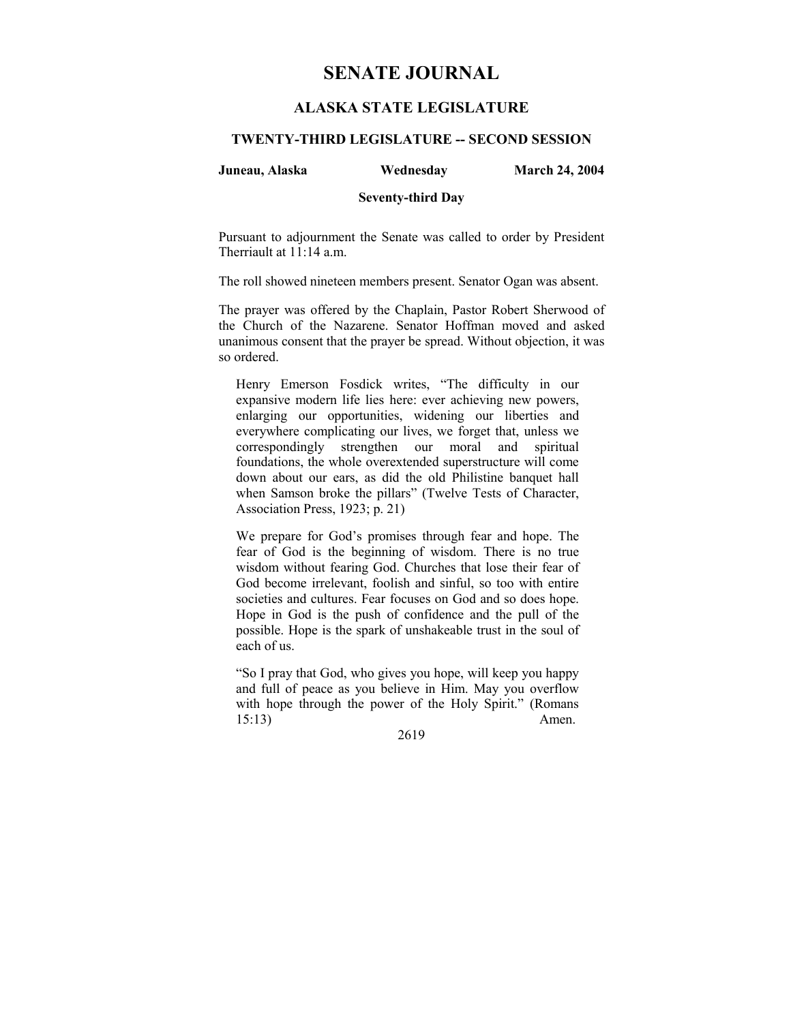# **SENATE JOURNAL**

## **ALASKA STATE LEGISLATURE**

## **TWENTY-THIRD LEGISLATURE -- SECOND SESSION**

#### **Juneau, Alaska Wednesday March 24, 2004**

## **Seventy-third Day**

Pursuant to adjournment the Senate was called to order by President Therriault at 11:14 a.m.

The roll showed nineteen members present. Senator Ogan was absent.

The prayer was offered by the Chaplain, Pastor Robert Sherwood of the Church of the Nazarene. Senator Hoffman moved and asked unanimous consent that the prayer be spread. Without objection, it was so ordered.

Henry Emerson Fosdick writes, "The difficulty in our expansive modern life lies here: ever achieving new powers, enlarging our opportunities, widening our liberties and everywhere complicating our lives, we forget that, unless we correspondingly strengthen our moral and spiritual foundations, the whole overextended superstructure will come down about our ears, as did the old Philistine banquet hall when Samson broke the pillars" (Twelve Tests of Character, Association Press, 1923; p. 21)

We prepare for God's promises through fear and hope. The fear of God is the beginning of wisdom. There is no true wisdom without fearing God. Churches that lose their fear of God become irrelevant, foolish and sinful, so too with entire societies and cultures. Fear focuses on God and so does hope. Hope in God is the push of confidence and the pull of the possible. Hope is the spark of unshakeable trust in the soul of each of us.

ìSo I pray that God, who gives you hope, will keep you happy and full of peace as you believe in Him. May you overflow with hope through the power of the Holy Spirit." (Romans 15:13) Amen.

2619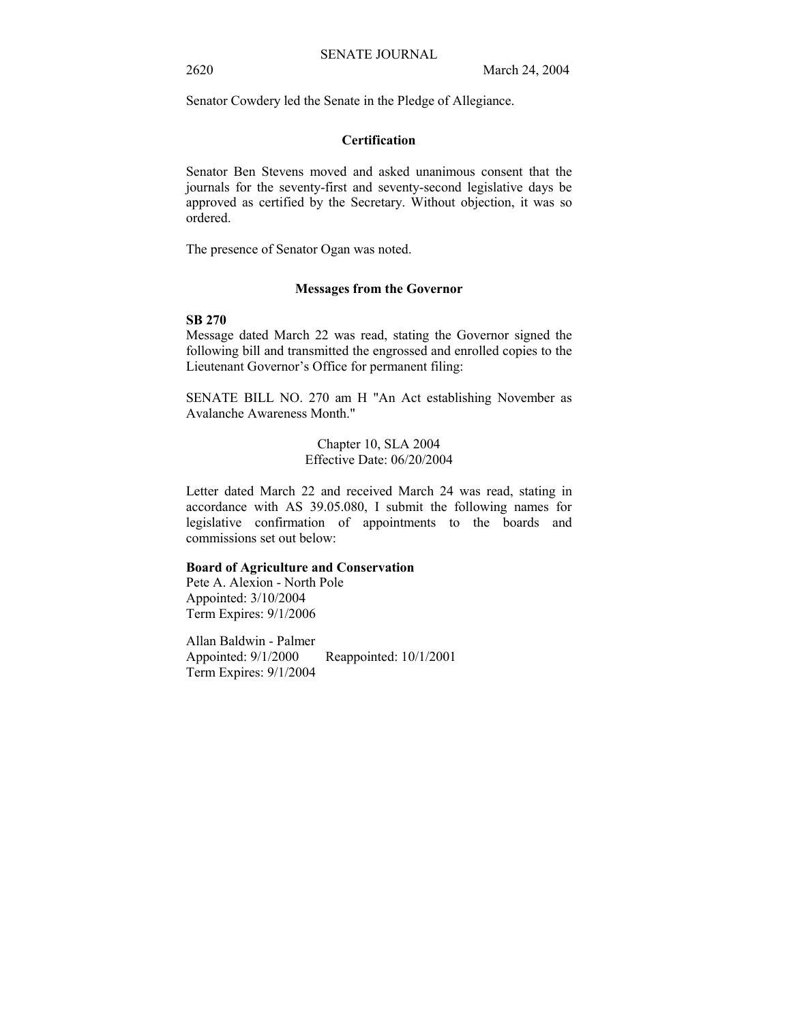Senator Cowdery led the Senate in the Pledge of Allegiance.

#### **Certification**

Senator Ben Stevens moved and asked unanimous consent that the journals for the seventy-first and seventy-second legislative days be approved as certified by the Secretary. Without objection, it was so ordered.

The presence of Senator Ogan was noted.

#### **Messages from the Governor**

### **SB 270**

Message dated March 22 was read, stating the Governor signed the following bill and transmitted the engrossed and enrolled copies to the Lieutenant Governor's Office for permanent filing:

SENATE BILL NO. 270 am H "An Act establishing November as Avalanche Awareness Month."

> Chapter 10, SLA 2004 Effective Date: 06/20/2004

Letter dated March 22 and received March 24 was read, stating in accordance with AS 39.05.080, I submit the following names for legislative confirmation of appointments to the boards and commissions set out below:

## **Board of Agriculture and Conservation**

Pete A. Alexion - North Pole Appointed: 3/10/2004 Term Expires: 9/1/2006

Allan Baldwin - Palmer Appointed: 9/1/2000 Reappointed: 10/1/2001 Term Expires: 9/1/2004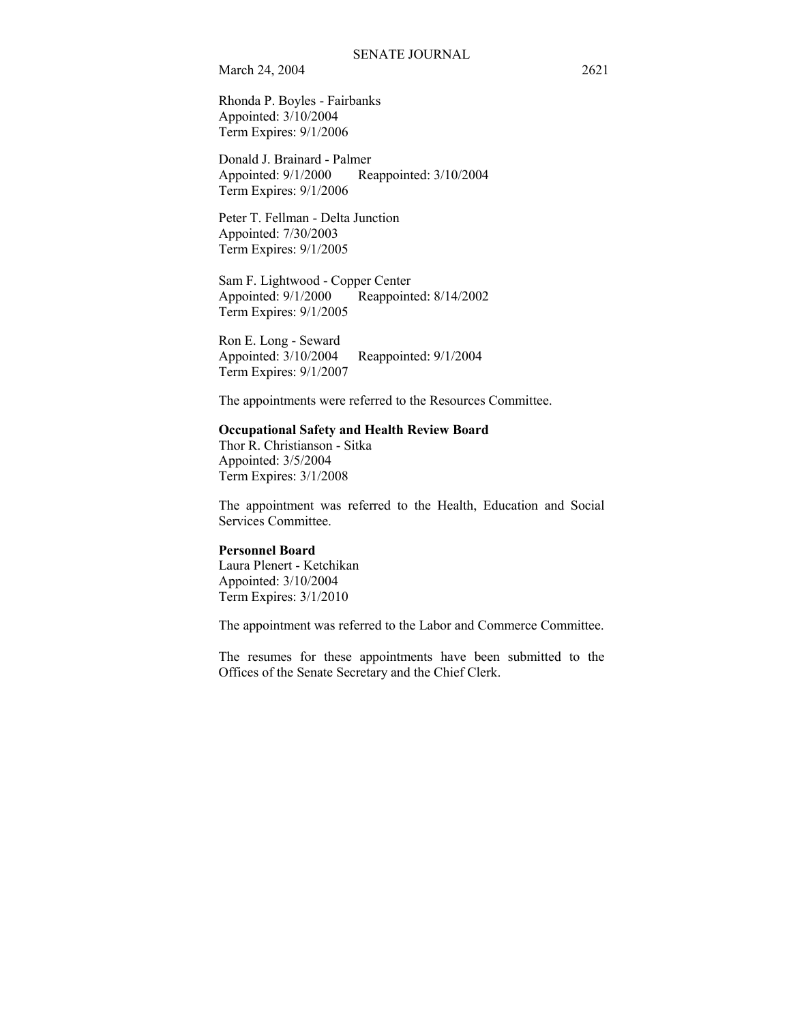Rhonda P. Boyles - Fairbanks Appointed: 3/10/2004 Term Expires: 9/1/2006

Donald J. Brainard - Palmer Appointed: 9/1/2000 Reappointed: 3/10/2004 Term Expires: 9/1/2006

Peter T. Fellman - Delta Junction Appointed: 7/30/2003 Term Expires: 9/1/2005

Sam F. Lightwood - Copper Center Appointed: 9/1/2000 Reappointed: 8/14/2002 Term Expires: 9/1/2005

Ron E. Long - Seward Appointed: 3/10/2004 Reappointed: 9/1/2004 Term Expires: 9/1/2007

The appointments were referred to the Resources Committee.

### **Occupational Safety and Health Review Board**

Thor R. Christianson - Sitka Appointed: 3/5/2004 Term Expires: 3/1/2008

The appointment was referred to the Health, Education and Social Services Committee.

#### **Personnel Board**

Laura Plenert - Ketchikan Appointed: 3/10/2004 Term Expires: 3/1/2010

The appointment was referred to the Labor and Commerce Committee.

The resumes for these appointments have been submitted to the Offices of the Senate Secretary and the Chief Clerk.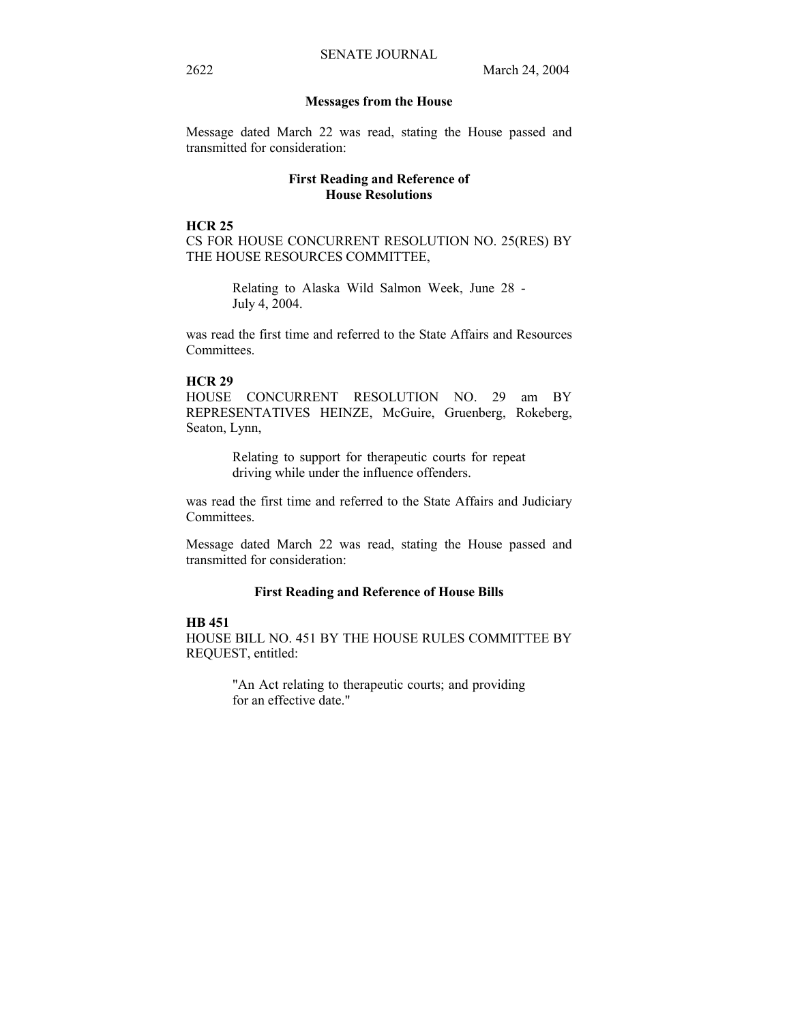#### **Messages from the House**

Message dated March 22 was read, stating the House passed and transmitted for consideration:

## **First Reading and Reference of House Resolutions**

#### **HCR 25**

CS FOR HOUSE CONCURRENT RESOLUTION NO. 25(RES) BY THE HOUSE RESOURCES COMMITTEE,

> Relating to Alaska Wild Salmon Week, June 28 - July 4, 2004.

was read the first time and referred to the State Affairs and Resources Committees.

#### **HCR 29**

HOUSE CONCURRENT RESOLUTION NO. 29 am BY REPRESENTATIVES HEINZE, McGuire, Gruenberg, Rokeberg, Seaton, Lynn,

> Relating to support for therapeutic courts for repeat driving while under the influence offenders.

was read the first time and referred to the State Affairs and Judiciary Committees.

Message dated March 22 was read, stating the House passed and transmitted for consideration:

#### **First Reading and Reference of House Bills**

#### **HB 451**

HOUSE BILL NO. 451 BY THE HOUSE RULES COMMITTEE BY REQUEST, entitled:

> "An Act relating to therapeutic courts; and providing for an effective date."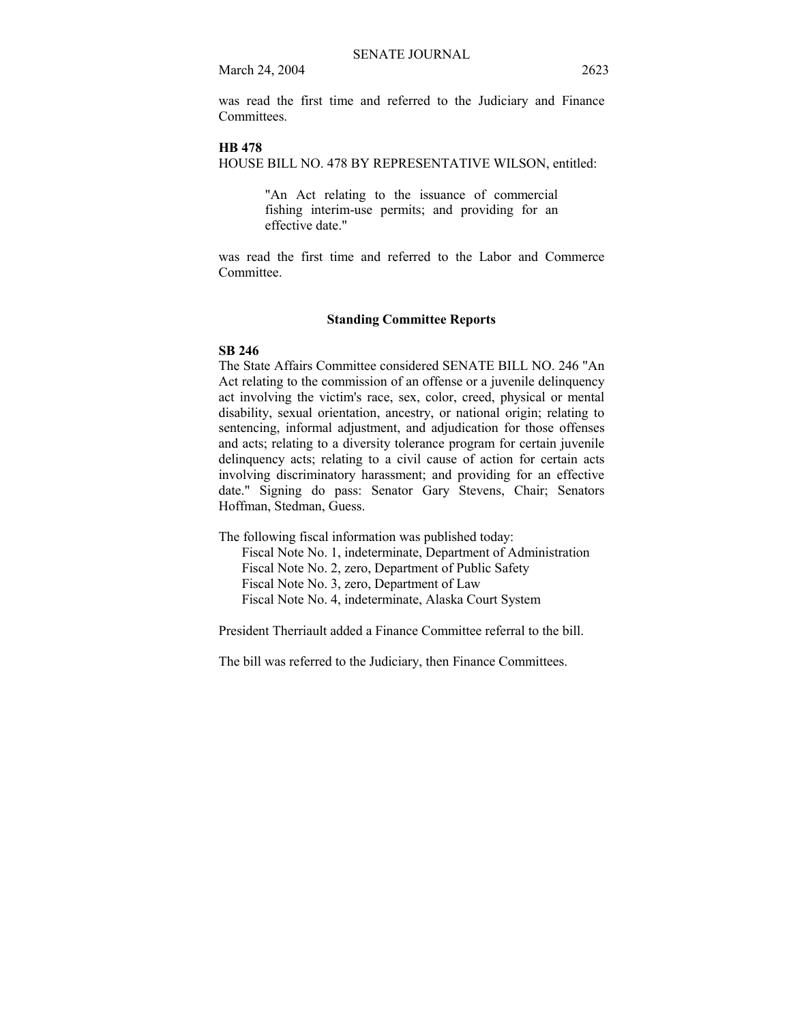was read the first time and referred to the Judiciary and Finance **Committees** 

#### **HB 478**

HOUSE BILL NO. 478 BY REPRESENTATIVE WILSON, entitled:

"An Act relating to the issuance of commercial fishing interim-use permits; and providing for an effective date."

was read the first time and referred to the Labor and Commerce Committee.

#### **Standing Committee Reports**

#### **SB 246**

The State Affairs Committee considered SENATE BILL NO. 246 "An Act relating to the commission of an offense or a juvenile delinquency act involving the victim's race, sex, color, creed, physical or mental disability, sexual orientation, ancestry, or national origin; relating to sentencing, informal adjustment, and adjudication for those offenses and acts; relating to a diversity tolerance program for certain juvenile delinquency acts; relating to a civil cause of action for certain acts involving discriminatory harassment; and providing for an effective date." Signing do pass: Senator Gary Stevens, Chair; Senators Hoffman, Stedman, Guess.

The following fiscal information was published today:

 Fiscal Note No. 1, indeterminate, Department of Administration Fiscal Note No. 2, zero, Department of Public Safety Fiscal Note No. 3, zero, Department of Law Fiscal Note No. 4, indeterminate, Alaska Court System

President Therriault added a Finance Committee referral to the bill.

The bill was referred to the Judiciary, then Finance Committees.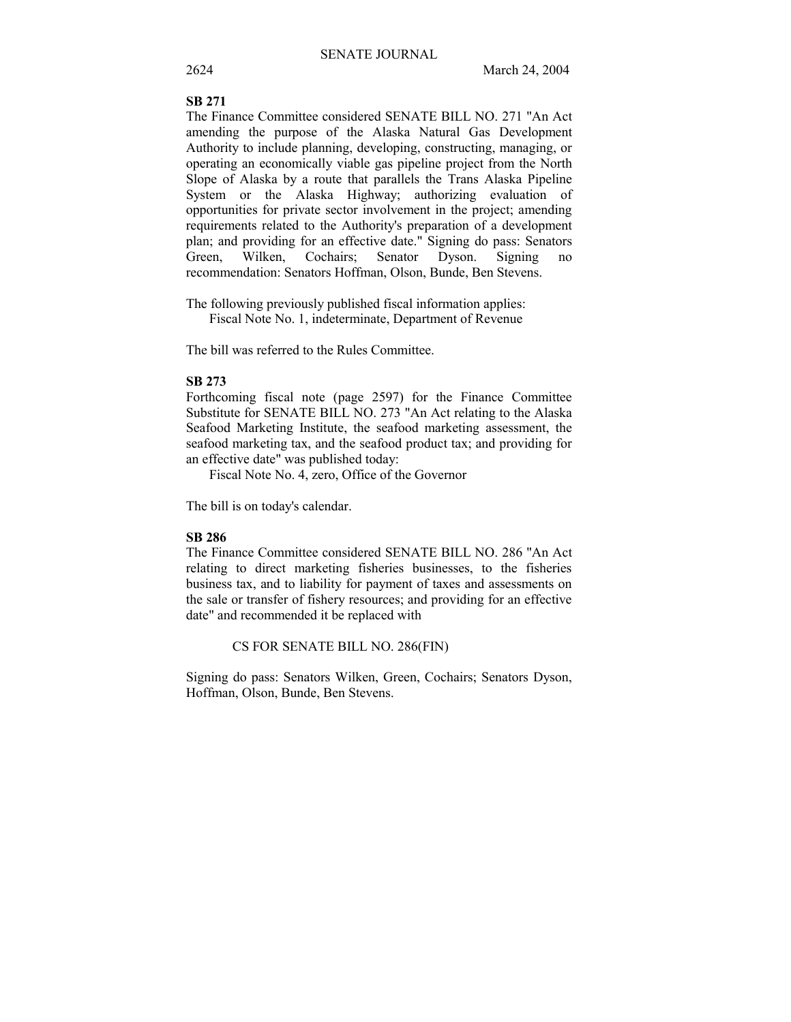## **SB 271**

The Finance Committee considered SENATE BILL NO. 271 "An Act amending the purpose of the Alaska Natural Gas Development Authority to include planning, developing, constructing, managing, or operating an economically viable gas pipeline project from the North Slope of Alaska by a route that parallels the Trans Alaska Pipeline System or the Alaska Highway; authorizing evaluation of opportunities for private sector involvement in the project; amending requirements related to the Authority's preparation of a development plan; and providing for an effective date." Signing do pass: Senators Green, Wilken, Cochairs; Senator Dyson. Signing no recommendation: Senators Hoffman, Olson, Bunde, Ben Stevens.

The following previously published fiscal information applies: Fiscal Note No. 1, indeterminate, Department of Revenue

The bill was referred to the Rules Committee.

#### **SB 273**

Forthcoming fiscal note (page 2597) for the Finance Committee Substitute for SENATE BILL NO. 273 "An Act relating to the Alaska Seafood Marketing Institute, the seafood marketing assessment, the seafood marketing tax, and the seafood product tax; and providing for an effective date" was published today:

Fiscal Note No. 4, zero, Office of the Governor

The bill is on today's calendar.

#### **SB 286**

The Finance Committee considered SENATE BILL NO. 286 "An Act relating to direct marketing fisheries businesses, to the fisheries business tax, and to liability for payment of taxes and assessments on the sale or transfer of fishery resources; and providing for an effective date" and recommended it be replaced with

CS FOR SENATE BILL NO. 286(FIN)

Signing do pass: Senators Wilken, Green, Cochairs; Senators Dyson, Hoffman, Olson, Bunde, Ben Stevens.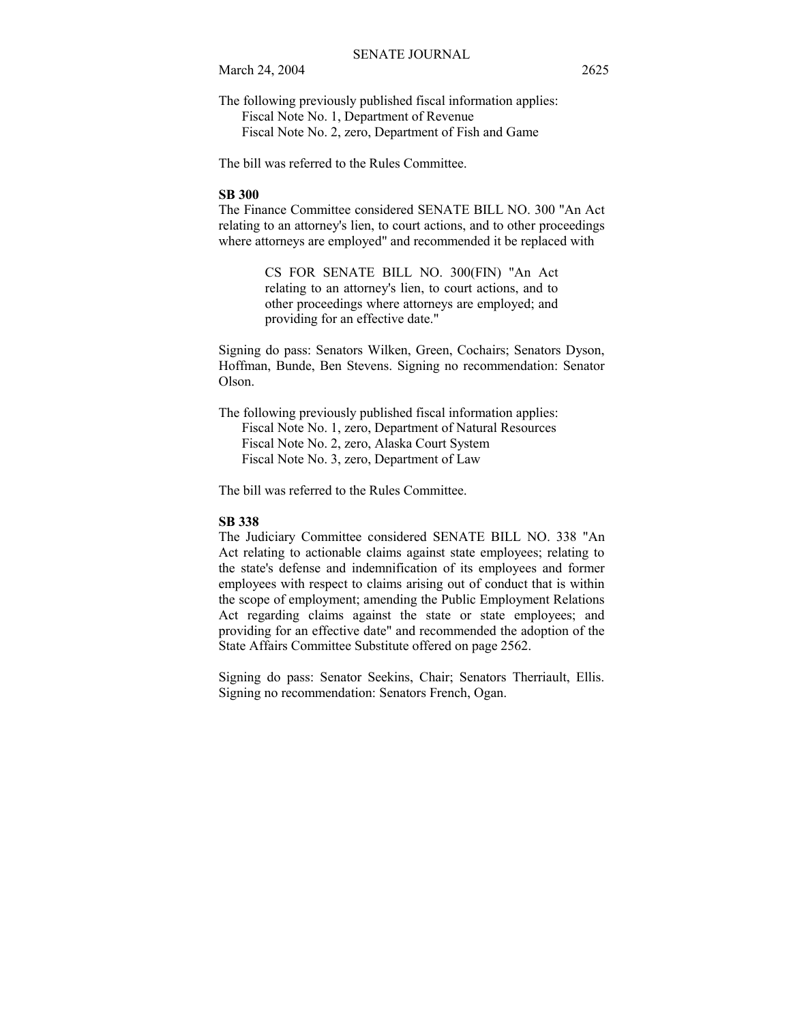The following previously published fiscal information applies: Fiscal Note No. 1, Department of Revenue Fiscal Note No. 2, zero, Department of Fish and Game

The bill was referred to the Rules Committee.

#### **SB 300**

The Finance Committee considered SENATE BILL NO. 300 "An Act relating to an attorney's lien, to court actions, and to other proceedings where attorneys are employed" and recommended it be replaced with

> CS FOR SENATE BILL NO. 300(FIN) "An Act relating to an attorney's lien, to court actions, and to other proceedings where attorneys are employed; and providing for an effective date."

Signing do pass: Senators Wilken, Green, Cochairs; Senators Dyson, Hoffman, Bunde, Ben Stevens. Signing no recommendation: Senator Olson.

The following previously published fiscal information applies: Fiscal Note No. 1, zero, Department of Natural Resources Fiscal Note No. 2, zero, Alaska Court System Fiscal Note No. 3, zero, Department of Law

The bill was referred to the Rules Committee.

#### **SB 338**

The Judiciary Committee considered SENATE BILL NO. 338 "An Act relating to actionable claims against state employees; relating to the state's defense and indemnification of its employees and former employees with respect to claims arising out of conduct that is within the scope of employment; amending the Public Employment Relations Act regarding claims against the state or state employees; and providing for an effective date" and recommended the adoption of the State Affairs Committee Substitute offered on page 2562.

Signing do pass: Senator Seekins, Chair; Senators Therriault, Ellis. Signing no recommendation: Senators French, Ogan.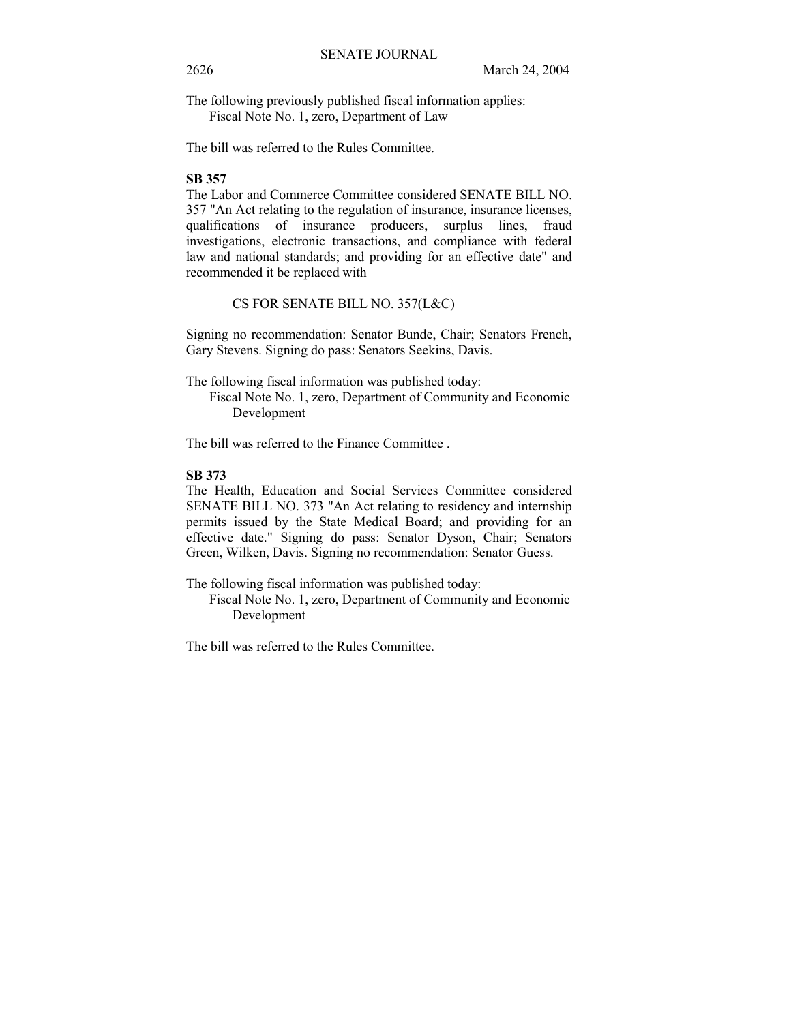The following previously published fiscal information applies: Fiscal Note No. 1, zero, Department of Law

The bill was referred to the Rules Committee.

## **SB 357**

The Labor and Commerce Committee considered SENATE BILL NO. 357 "An Act relating to the regulation of insurance, insurance licenses, qualifications of insurance producers, surplus lines, fraud investigations, electronic transactions, and compliance with federal law and national standards; and providing for an effective date" and recommended it be replaced with

CS FOR SENATE BILL NO. 357(L&C)

Signing no recommendation: Senator Bunde, Chair; Senators French, Gary Stevens. Signing do pass: Senators Seekins, Davis.

The following fiscal information was published today:

 Fiscal Note No. 1, zero, Department of Community and Economic Development

The bill was referred to the Finance Committee .

## **SB 373**

The Health, Education and Social Services Committee considered SENATE BILL NO. 373 "An Act relating to residency and internship permits issued by the State Medical Board; and providing for an effective date." Signing do pass: Senator Dyson, Chair; Senators Green, Wilken, Davis. Signing no recommendation: Senator Guess.

The following fiscal information was published today:

 Fiscal Note No. 1, zero, Department of Community and Economic Development

The bill was referred to the Rules Committee.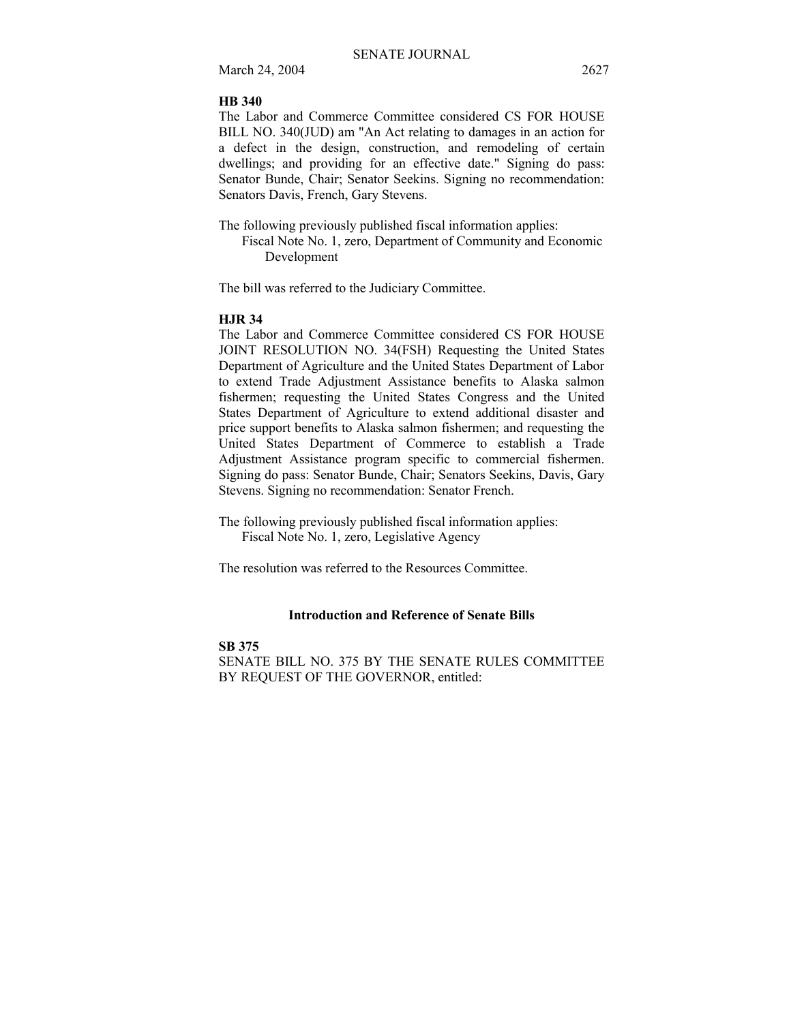#### **HB 340**

The Labor and Commerce Committee considered CS FOR HOUSE BILL NO. 340(JUD) am "An Act relating to damages in an action for a defect in the design, construction, and remodeling of certain dwellings; and providing for an effective date." Signing do pass: Senator Bunde, Chair; Senator Seekins. Signing no recommendation: Senators Davis, French, Gary Stevens.

The following previously published fiscal information applies:

 Fiscal Note No. 1, zero, Department of Community and Economic Development

The bill was referred to the Judiciary Committee.

#### **HJR 34**

The Labor and Commerce Committee considered CS FOR HOUSE JOINT RESOLUTION NO. 34(FSH) Requesting the United States Department of Agriculture and the United States Department of Labor to extend Trade Adjustment Assistance benefits to Alaska salmon fishermen; requesting the United States Congress and the United States Department of Agriculture to extend additional disaster and price support benefits to Alaska salmon fishermen; and requesting the United States Department of Commerce to establish a Trade Adjustment Assistance program specific to commercial fishermen. Signing do pass: Senator Bunde, Chair; Senators Seekins, Davis, Gary Stevens. Signing no recommendation: Senator French.

The following previously published fiscal information applies: Fiscal Note No. 1, zero, Legislative Agency

The resolution was referred to the Resources Committee.

#### **Introduction and Reference of Senate Bills**

#### **SB 375**

SENATE BILL NO. 375 BY THE SENATE RULES COMMITTEE BY REQUEST OF THE GOVERNOR, entitled: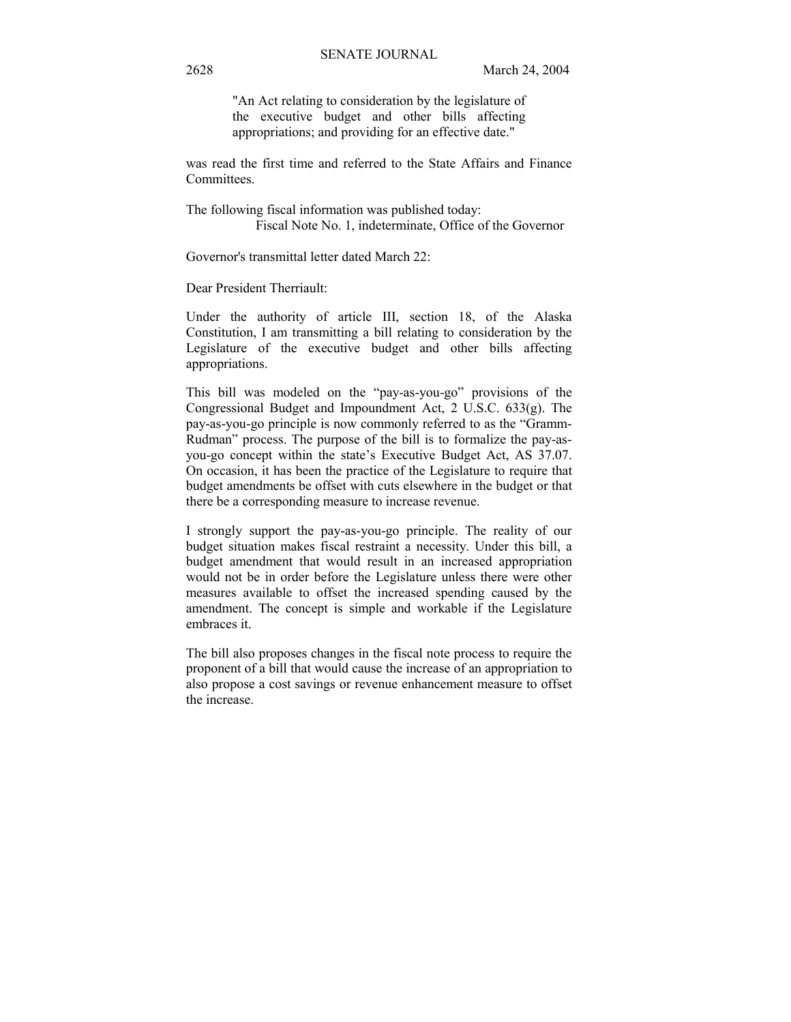"An Act relating to consideration by the legislature of the executive budget and other bills affecting appropriations; and providing for an effective date."

was read the first time and referred to the State Affairs and Finance Committees.

The following fiscal information was published today: Fiscal Note No. 1, indeterminate, Office of the Governor

Governor's transmittal letter dated March 22:

Dear President Therriault:

Under the authority of article III, section 18, of the Alaska Constitution, I am transmitting a bill relating to consideration by the Legislature of the executive budget and other bills affecting appropriations.

This bill was modeled on the "pay-as-you-go" provisions of the Congressional Budget and Impoundment Act, 2 U.S.C. 633(g). The pay-as-you-go principle is now commonly referred to as the "Gramm-Rudman" process. The purpose of the bill is to formalize the pay-asyou-go concept within the state's Executive Budget Act, AS 37.07. On occasion, it has been the practice of the Legislature to require that budget amendments be offset with cuts elsewhere in the budget or that there be a corresponding measure to increase revenue.

I strongly support the pay-as-you-go principle. The reality of our budget situation makes fiscal restraint a necessity. Under this bill, a budget amendment that would result in an increased appropriation would not be in order before the Legislature unless there were other measures available to offset the increased spending caused by the amendment. The concept is simple and workable if the Legislature embraces it.

The bill also proposes changes in the fiscal note process to require the proponent of a bill that would cause the increase of an appropriation to also propose a cost savings or revenue enhancement measure to offset the increase.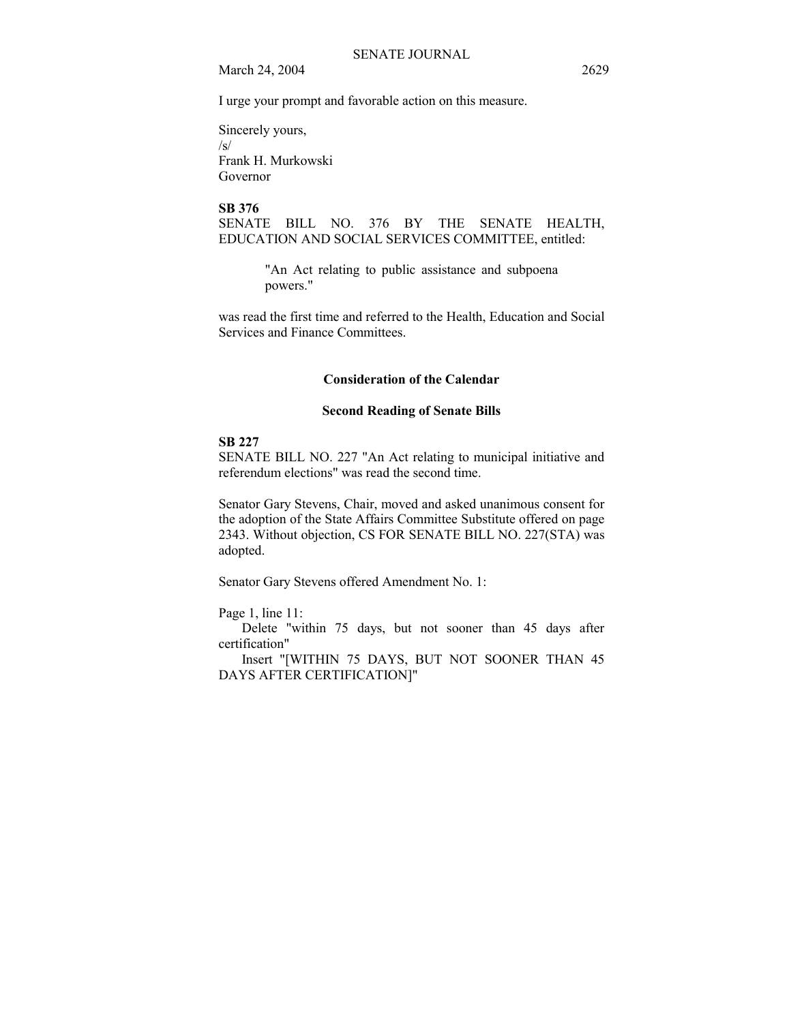I urge your prompt and favorable action on this measure.

Sincerely yours,  $\sqrt{s}$ Frank H. Murkowski

Governor

### **SB 376**

SENATE BILL NO. 376 BY THE SENATE HEALTH, EDUCATION AND SOCIAL SERVICES COMMITTEE, entitled:

> "An Act relating to public assistance and subpoena powers."

was read the first time and referred to the Health, Education and Social Services and Finance Committees.

### **Consideration of the Calendar**

### **Second Reading of Senate Bills**

#### **SB 227**

SENATE BILL NO. 227 "An Act relating to municipal initiative and referendum elections" was read the second time.

Senator Gary Stevens, Chair, moved and asked unanimous consent for the adoption of the State Affairs Committee Substitute offered on page 2343. Without objection, CS FOR SENATE BILL NO. 227(STA) was adopted.

Senator Gary Stevens offered Amendment No. 1:

Page 1, line 11:

Delete "within 75 days, but not sooner than 45 days after certification"

Insert "[WITHIN 75 DAYS, BUT NOT SOONER THAN 45 DAYS AFTER CERTIFICATION]"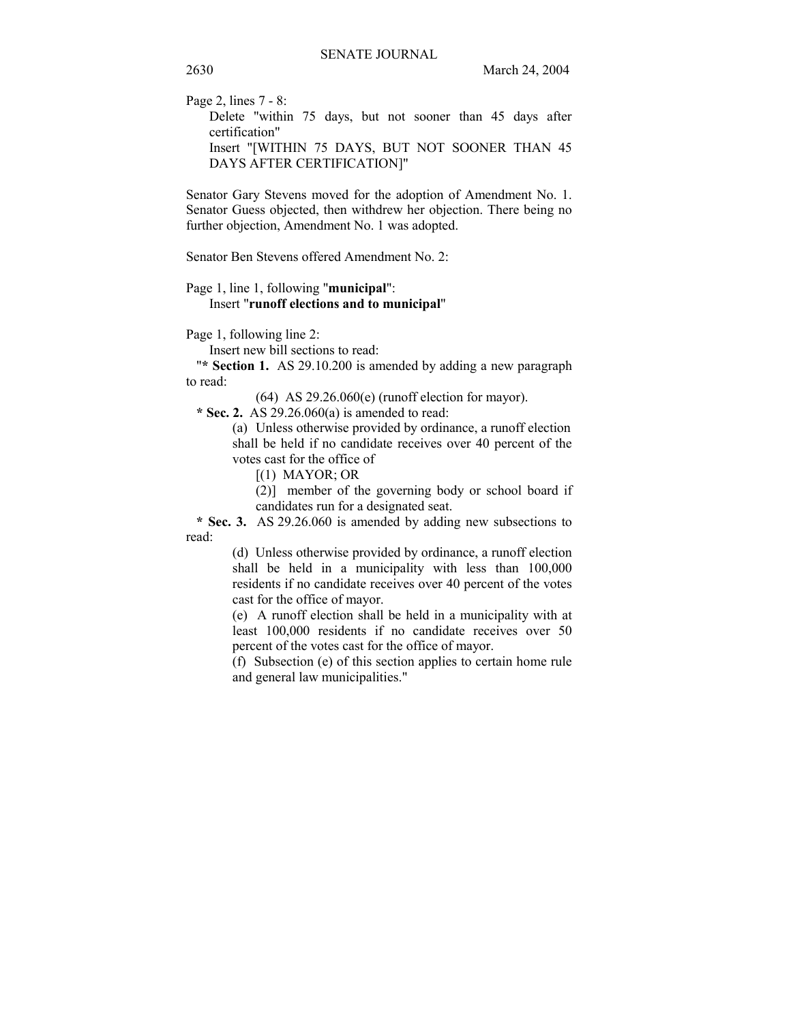Page 2, lines 7 - 8:

Delete "within 75 days, but not sooner than 45 days after certification" Insert "[WITHIN 75 DAYS, BUT NOT SOONER THAN 45 DAYS AFTER CERTIFICATION]"

Senator Gary Stevens moved for the adoption of Amendment No. 1. Senator Guess objected, then withdrew her objection. There being no further objection, Amendment No. 1 was adopted.

Senator Ben Stevens offered Amendment No. 2:

#### Page 1, line 1, following "**municipal**":

#### Insert "**runoff elections and to municipal**"

Page 1, following line 2:

Insert new bill sections to read:

"**\* Section 1.** AS 29.10.200 is amended by adding a new paragraph to read:

(64) AS 29.26.060(e) (runoff election for mayor).

 **\* Sec. 2.** AS 29.26.060(a) is amended to read:

(a) Unless otherwise provided by ordinance, a runoff election shall be held if no candidate receives over 40 percent of the votes cast for the office of

[(1) MAYOR; OR

(2)] member of the governing body or school board if candidates run for a designated seat.

 **\* Sec. 3.** AS 29.26.060 is amended by adding new subsections to read:

> (d) Unless otherwise provided by ordinance, a runoff election shall be held in a municipality with less than 100,000 residents if no candidate receives over 40 percent of the votes cast for the office of mayor.

> (e) A runoff election shall be held in a municipality with at least 100,000 residents if no candidate receives over 50 percent of the votes cast for the office of mayor.

> (f) Subsection (e) of this section applies to certain home rule and general law municipalities."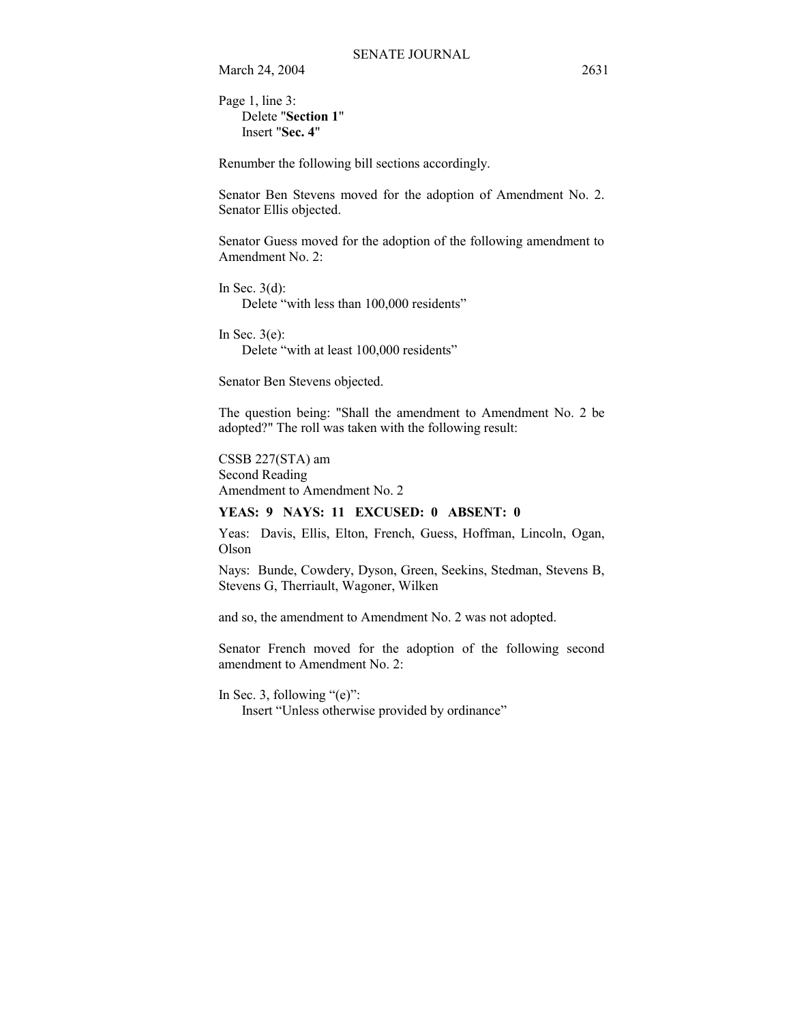Page 1, line 3: Delete "**Section 1**" Insert "**Sec. 4**"

Renumber the following bill sections accordingly.

Senator Ben Stevens moved for the adoption of Amendment No. 2. Senator Ellis objected.

Senator Guess moved for the adoption of the following amendment to Amendment No. 2:

In Sec.  $3(d)$ : Delete "with less than 100,000 residents"

In Sec.  $3(e)$ : Delete "with at least 100,000 residents"

Senator Ben Stevens objected.

The question being: "Shall the amendment to Amendment No. 2 be adopted?" The roll was taken with the following result:

CSSB 227(STA) am Second Reading Amendment to Amendment No. 2

### **YEAS: 9 NAYS: 11 EXCUSED: 0 ABSENT: 0**

Yeas: Davis, Ellis, Elton, French, Guess, Hoffman, Lincoln, Ogan, Olson

Nays: Bunde, Cowdery, Dyson, Green, Seekins, Stedman, Stevens B, Stevens G, Therriault, Wagoner, Wilken

and so, the amendment to Amendment No. 2 was not adopted.

Senator French moved for the adoption of the following second amendment to Amendment No. 2:

In Sec. 3, following  $\degree$ (e)":

Insert "Unless otherwise provided by ordinance"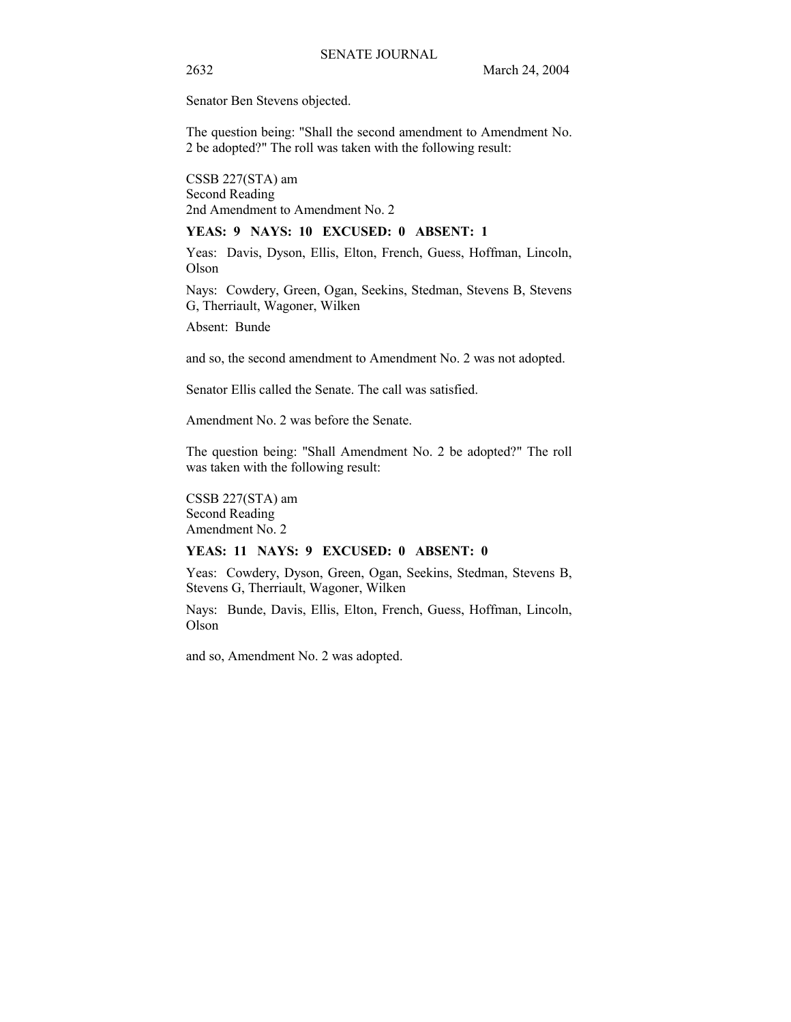Senator Ben Stevens objected.

The question being: "Shall the second amendment to Amendment No. 2 be adopted?" The roll was taken with the following result:

CSSB 227(STA) am Second Reading 2nd Amendment to Amendment No. 2

### **YEAS: 9 NAYS: 10 EXCUSED: 0 ABSENT: 1**

Yeas: Davis, Dyson, Ellis, Elton, French, Guess, Hoffman, Lincoln, Olson

Nays: Cowdery, Green, Ogan, Seekins, Stedman, Stevens B, Stevens G, Therriault, Wagoner, Wilken

Absent: Bunde

and so, the second amendment to Amendment No. 2 was not adopted.

Senator Ellis called the Senate. The call was satisfied.

Amendment No. 2 was before the Senate.

The question being: "Shall Amendment No. 2 be adopted?" The roll was taken with the following result:

CSSB 227(STA) am Second Reading Amendment No. 2

#### **YEAS: 11 NAYS: 9 EXCUSED: 0 ABSENT: 0**

Yeas: Cowdery, Dyson, Green, Ogan, Seekins, Stedman, Stevens B, Stevens G, Therriault, Wagoner, Wilken

Nays: Bunde, Davis, Ellis, Elton, French, Guess, Hoffman, Lincoln, Olson

and so, Amendment No. 2 was adopted.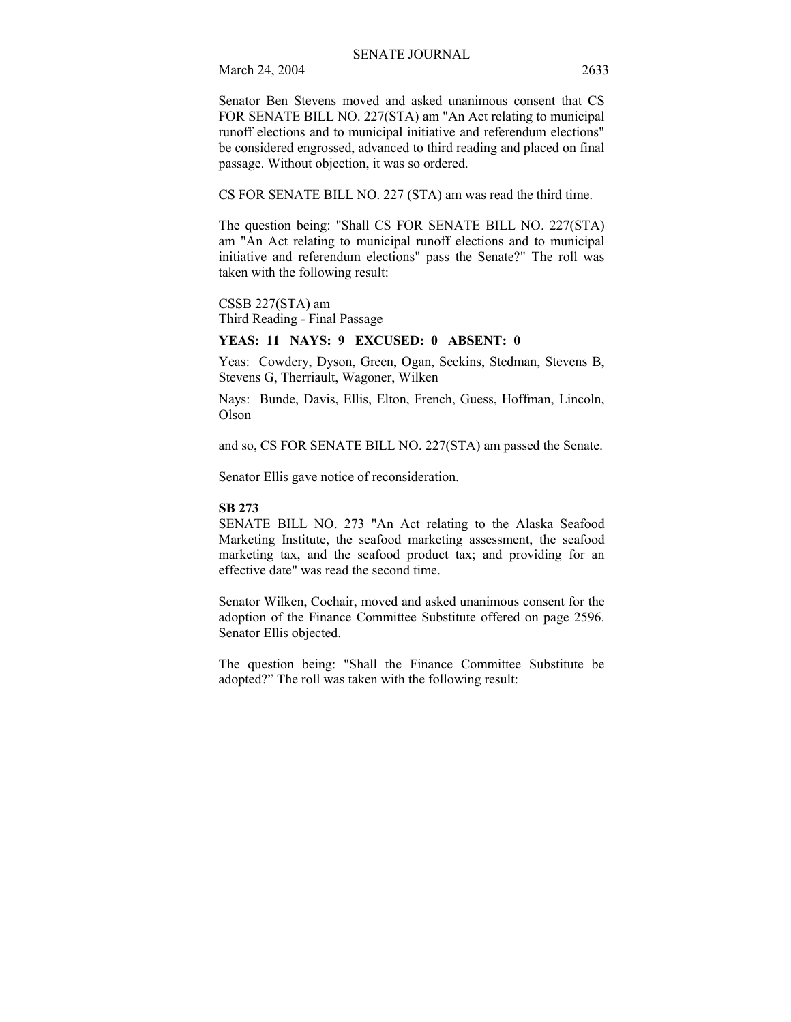Senator Ben Stevens moved and asked unanimous consent that CS FOR SENATE BILL NO. 227(STA) am "An Act relating to municipal runoff elections and to municipal initiative and referendum elections" be considered engrossed, advanced to third reading and placed on final passage. Without objection, it was so ordered.

CS FOR SENATE BILL NO. 227 (STA) am was read the third time.

The question being: "Shall CS FOR SENATE BILL NO. 227(STA) am "An Act relating to municipal runoff elections and to municipal initiative and referendum elections" pass the Senate?" The roll was taken with the following result:

CSSB 227(STA) am Third Reading - Final Passage

### **YEAS: 11 NAYS: 9 EXCUSED: 0 ABSENT: 0**

Yeas: Cowdery, Dyson, Green, Ogan, Seekins, Stedman, Stevens B, Stevens G, Therriault, Wagoner, Wilken

Nays: Bunde, Davis, Ellis, Elton, French, Guess, Hoffman, Lincoln, Olson

and so, CS FOR SENATE BILL NO. 227(STA) am passed the Senate.

Senator Ellis gave notice of reconsideration.

#### **SB 273**

SENATE BILL NO. 273 "An Act relating to the Alaska Seafood Marketing Institute, the seafood marketing assessment, the seafood marketing tax, and the seafood product tax; and providing for an effective date" was read the second time.

Senator Wilken, Cochair, moved and asked unanimous consent for the adoption of the Finance Committee Substitute offered on page 2596. Senator Ellis objected.

The question being: "Shall the Finance Committee Substitute be adopted?" The roll was taken with the following result: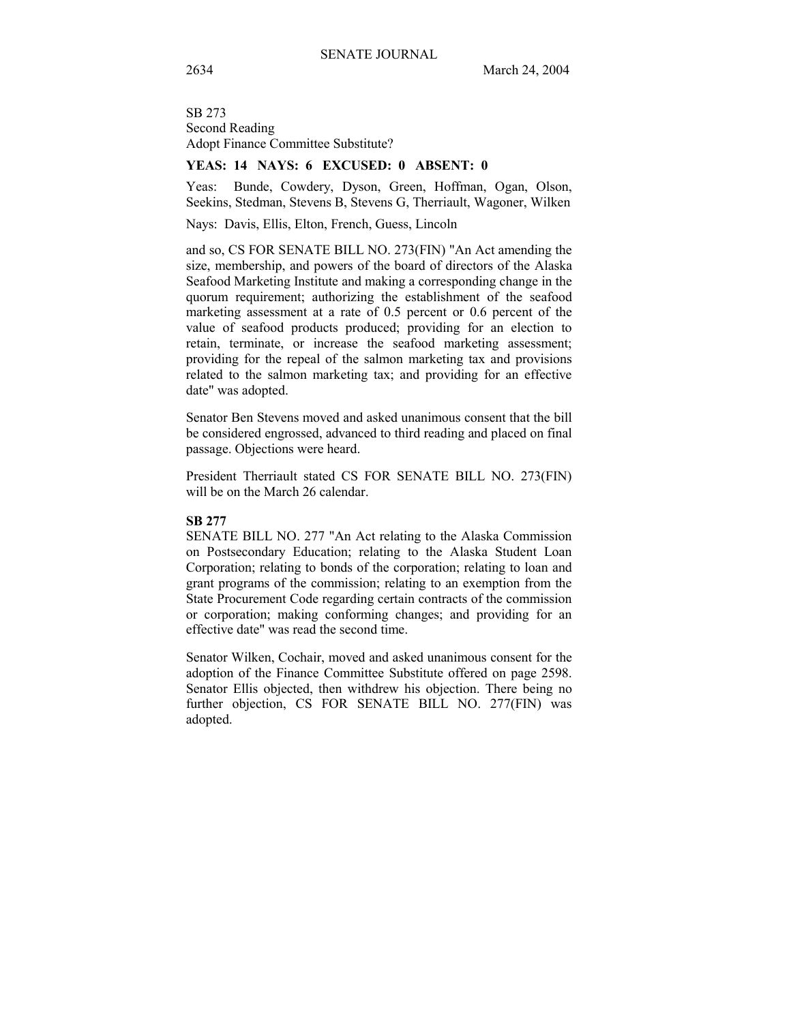SB 273 Second Reading Adopt Finance Committee Substitute?

#### **YEAS: 14 NAYS: 6 EXCUSED: 0 ABSENT: 0**

Yeas: Bunde, Cowdery, Dyson, Green, Hoffman, Ogan, Olson, Seekins, Stedman, Stevens B, Stevens G, Therriault, Wagoner, Wilken

Nays: Davis, Ellis, Elton, French, Guess, Lincoln

and so, CS FOR SENATE BILL NO. 273(FIN) "An Act amending the size, membership, and powers of the board of directors of the Alaska Seafood Marketing Institute and making a corresponding change in the quorum requirement; authorizing the establishment of the seafood marketing assessment at a rate of 0.5 percent or 0.6 percent of the value of seafood products produced; providing for an election to retain, terminate, or increase the seafood marketing assessment; providing for the repeal of the salmon marketing tax and provisions related to the salmon marketing tax; and providing for an effective date" was adopted.

Senator Ben Stevens moved and asked unanimous consent that the bill be considered engrossed, advanced to third reading and placed on final passage. Objections were heard.

President Therriault stated CS FOR SENATE BILL NO. 273(FIN) will be on the March 26 calendar.

#### **SB 277**

SENATE BILL NO. 277 "An Act relating to the Alaska Commission on Postsecondary Education; relating to the Alaska Student Loan Corporation; relating to bonds of the corporation; relating to loan and grant programs of the commission; relating to an exemption from the State Procurement Code regarding certain contracts of the commission or corporation; making conforming changes; and providing for an effective date" was read the second time.

Senator Wilken, Cochair, moved and asked unanimous consent for the adoption of the Finance Committee Substitute offered on page 2598. Senator Ellis objected, then withdrew his objection. There being no further objection, CS FOR SENATE BILL NO. 277(FIN) was adopted.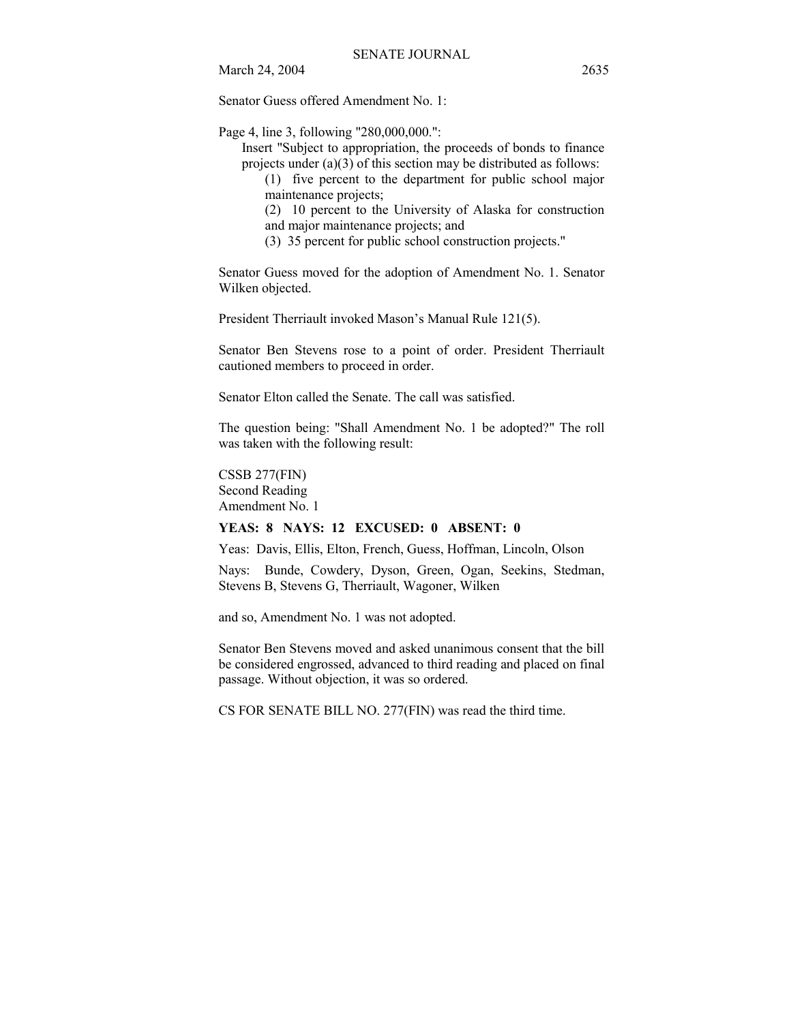Senator Guess offered Amendment No. 1:

Page 4, line 3, following "280,000,000.":

Insert "Subject to appropriation, the proceeds of bonds to finance projects under  $(a)(3)$  of this section may be distributed as follows:

(1) five percent to the department for public school major maintenance projects;

(2) 10 percent to the University of Alaska for construction and major maintenance projects; and

(3) 35 percent for public school construction projects."

Senator Guess moved for the adoption of Amendment No. 1. Senator Wilken objected.

President Therriault invoked Mason's Manual Rule 121(5).

Senator Ben Stevens rose to a point of order. President Therriault cautioned members to proceed in order.

Senator Elton called the Senate. The call was satisfied.

The question being: "Shall Amendment No. 1 be adopted?" The roll was taken with the following result:

CSSB 277(FIN) Second Reading Amendment No. 1

#### **YEAS: 8 NAYS: 12 EXCUSED: 0 ABSENT: 0**

Yeas: Davis, Ellis, Elton, French, Guess, Hoffman, Lincoln, Olson

Nays: Bunde, Cowdery, Dyson, Green, Ogan, Seekins, Stedman, Stevens B, Stevens G, Therriault, Wagoner, Wilken

and so, Amendment No. 1 was not adopted.

Senator Ben Stevens moved and asked unanimous consent that the bill be considered engrossed, advanced to third reading and placed on final passage. Without objection, it was so ordered.

CS FOR SENATE BILL NO. 277(FIN) was read the third time.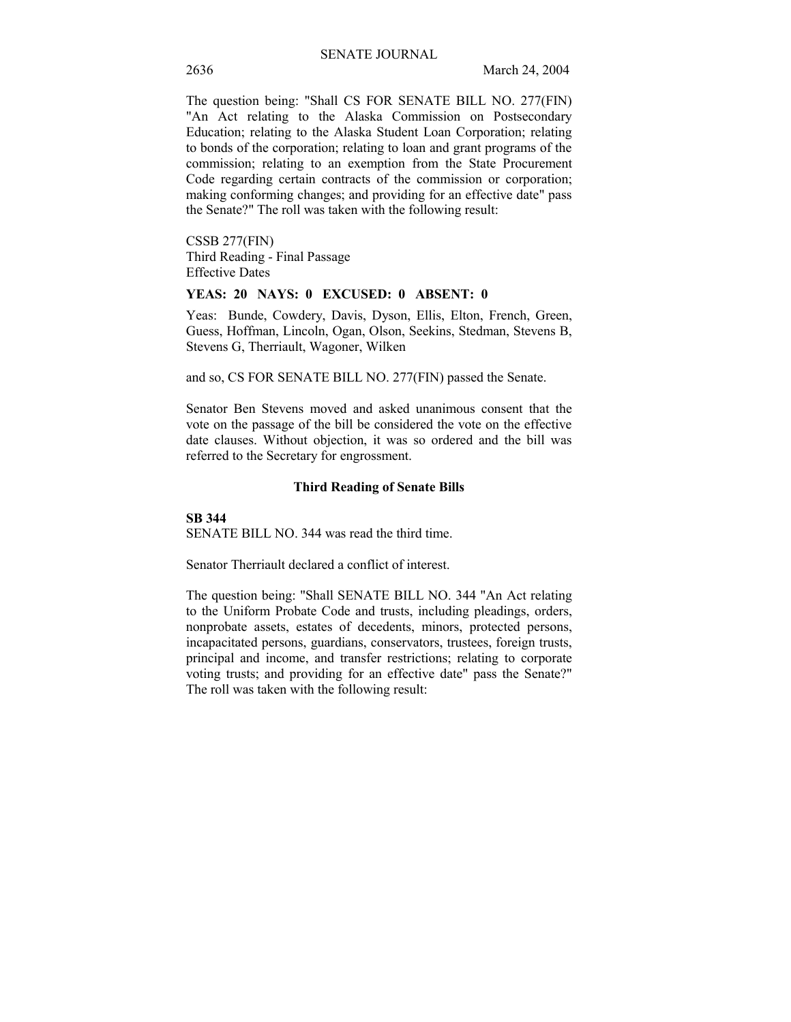The question being: "Shall CS FOR SENATE BILL NO. 277(FIN) "An Act relating to the Alaska Commission on Postsecondary Education; relating to the Alaska Student Loan Corporation; relating to bonds of the corporation; relating to loan and grant programs of the commission; relating to an exemption from the State Procurement Code regarding certain contracts of the commission or corporation; making conforming changes; and providing for an effective date" pass the Senate?" The roll was taken with the following result:

CSSB 277(FIN) Third Reading - Final Passage Effective Dates

#### **YEAS: 20 NAYS: 0 EXCUSED: 0 ABSENT: 0**

Yeas: Bunde, Cowdery, Davis, Dyson, Ellis, Elton, French, Green, Guess, Hoffman, Lincoln, Ogan, Olson, Seekins, Stedman, Stevens B, Stevens G, Therriault, Wagoner, Wilken

and so, CS FOR SENATE BILL NO. 277(FIN) passed the Senate.

Senator Ben Stevens moved and asked unanimous consent that the vote on the passage of the bill be considered the vote on the effective date clauses. Without objection, it was so ordered and the bill was referred to the Secretary for engrossment.

#### **Third Reading of Senate Bills**

**SB 344**

SENATE BILL NO. 344 was read the third time.

Senator Therriault declared a conflict of interest.

The question being: "Shall SENATE BILL NO. 344 "An Act relating to the Uniform Probate Code and trusts, including pleadings, orders, nonprobate assets, estates of decedents, minors, protected persons, incapacitated persons, guardians, conservators, trustees, foreign trusts, principal and income, and transfer restrictions; relating to corporate voting trusts; and providing for an effective date" pass the Senate?" The roll was taken with the following result: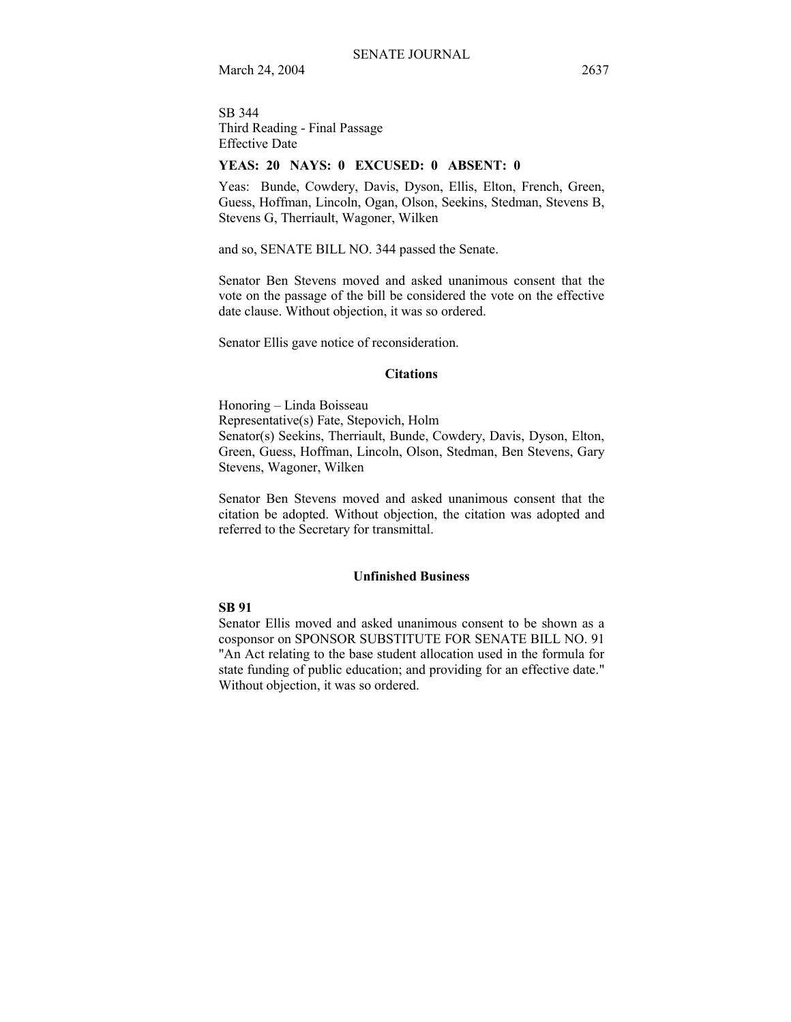SB 344 Third Reading - Final Passage Effective Date

#### **YEAS: 20 NAYS: 0 EXCUSED: 0 ABSENT: 0**

Yeas: Bunde, Cowdery, Davis, Dyson, Ellis, Elton, French, Green, Guess, Hoffman, Lincoln, Ogan, Olson, Seekins, Stedman, Stevens B, Stevens G, Therriault, Wagoner, Wilken

and so, SENATE BILL NO. 344 passed the Senate.

Senator Ben Stevens moved and asked unanimous consent that the vote on the passage of the bill be considered the vote on the effective date clause. Without objection, it was so ordered.

Senator Ellis gave notice of reconsideration.

#### **Citations**

Honoring - Linda Boisseau Representative(s) Fate, Stepovich, Holm Senator(s) Seekins, Therriault, Bunde, Cowdery, Davis, Dyson, Elton, Green, Guess, Hoffman, Lincoln, Olson, Stedman, Ben Stevens, Gary Stevens, Wagoner, Wilken

Senator Ben Stevens moved and asked unanimous consent that the citation be adopted. Without objection, the citation was adopted and referred to the Secretary for transmittal.

#### **Unfinished Business**

#### **SB 91**

Senator Ellis moved and asked unanimous consent to be shown as a cosponsor on SPONSOR SUBSTITUTE FOR SENATE BILL NO. 91 "An Act relating to the base student allocation used in the formula for state funding of public education; and providing for an effective date." Without objection, it was so ordered.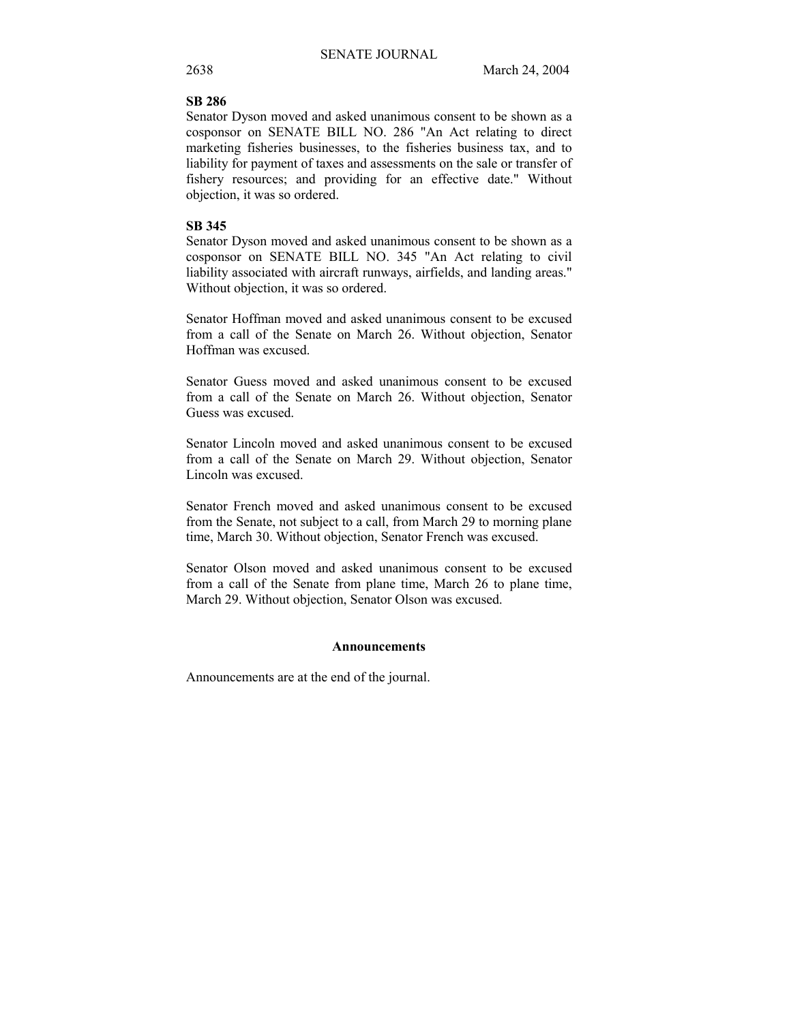## **SB 286**

Senator Dyson moved and asked unanimous consent to be shown as a cosponsor on SENATE BILL NO. 286 "An Act relating to direct marketing fisheries businesses, to the fisheries business tax, and to liability for payment of taxes and assessments on the sale or transfer of fishery resources; and providing for an effective date." Without objection, it was so ordered.

#### **SB 345**

Senator Dyson moved and asked unanimous consent to be shown as a cosponsor on SENATE BILL NO. 345 "An Act relating to civil liability associated with aircraft runways, airfields, and landing areas." Without objection, it was so ordered.

Senator Hoffman moved and asked unanimous consent to be excused from a call of the Senate on March 26. Without objection, Senator Hoffman was excused.

Senator Guess moved and asked unanimous consent to be excused from a call of the Senate on March 26. Without objection, Senator Guess was excused.

Senator Lincoln moved and asked unanimous consent to be excused from a call of the Senate on March 29. Without objection, Senator Lincoln was excused.

Senator French moved and asked unanimous consent to be excused from the Senate, not subject to a call, from March 29 to morning plane time, March 30. Without objection, Senator French was excused.

Senator Olson moved and asked unanimous consent to be excused from a call of the Senate from plane time, March 26 to plane time, March 29. Without objection, Senator Olson was excused.

#### **Announcements**

Announcements are at the end of the journal.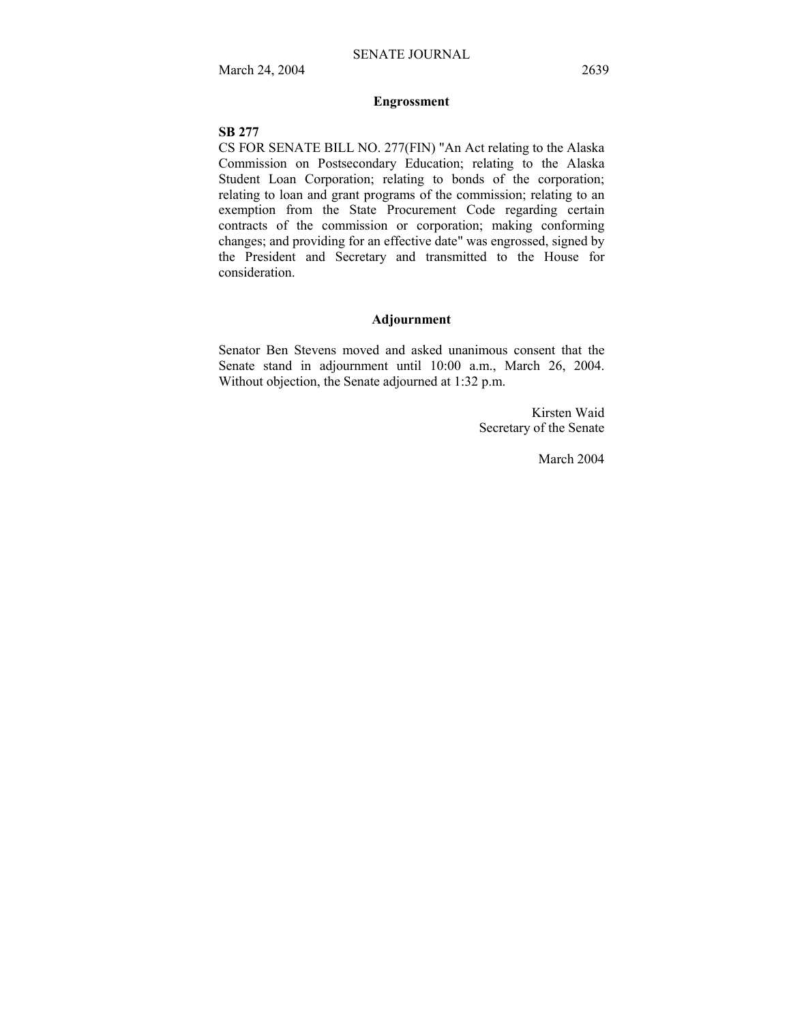## **Engrossment**

### **SB 277**

CS FOR SENATE BILL NO. 277(FIN) "An Act relating to the Alaska Commission on Postsecondary Education; relating to the Alaska Student Loan Corporation; relating to bonds of the corporation; relating to loan and grant programs of the commission; relating to an exemption from the State Procurement Code regarding certain contracts of the commission or corporation; making conforming changes; and providing for an effective date" was engrossed, signed by the President and Secretary and transmitted to the House for consideration.

#### **Adjournment**

Senator Ben Stevens moved and asked unanimous consent that the Senate stand in adjournment until 10:00 a.m., March 26, 2004. Without objection, the Senate adjourned at 1:32 p.m.

> Kirsten Waid Secretary of the Senate

> > March 2004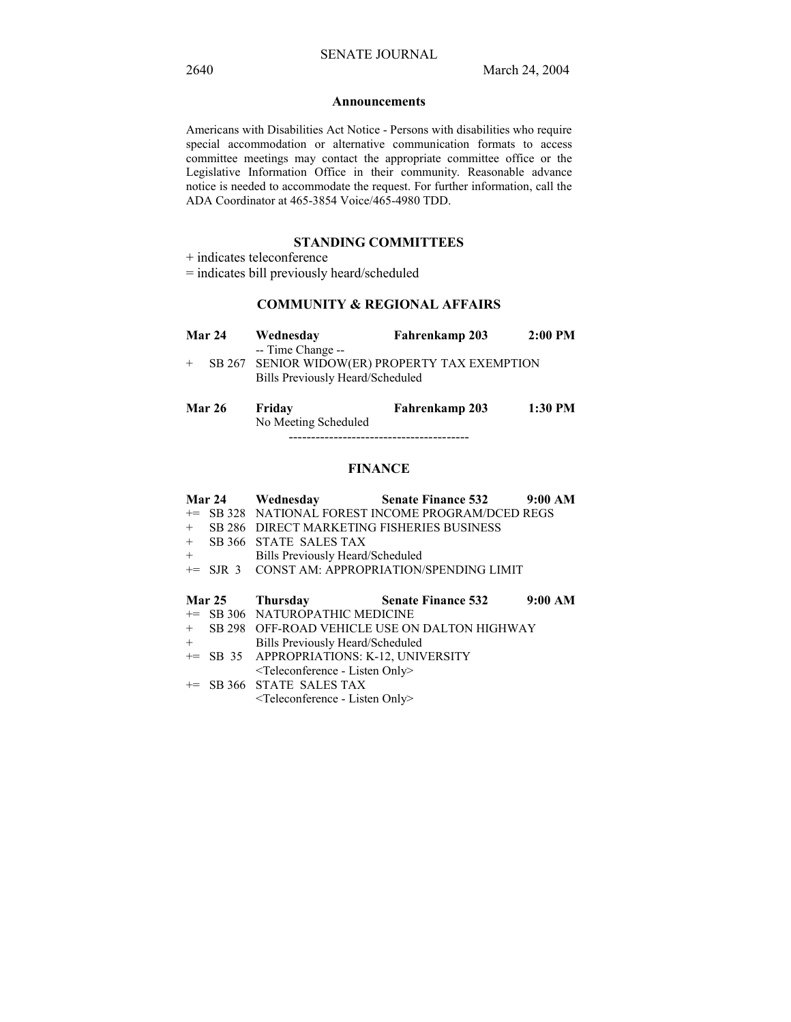#### **Announcements**

Americans with Disabilities Act Notice - Persons with disabilities who require special accommodation or alternative communication formats to access committee meetings may contact the appropriate committee office or the Legislative Information Office in their community. Reasonable advance notice is needed to accommodate the request. For further information, call the ADA Coordinator at 465-3854 Voice/465-4980 TDD.

## **STANDING COMMITTEES**

+ indicates teleconference

= indicates bill previously heard/scheduled

## **COMMUNITY & REGIONAL AFFAIRS**

| <b>Mar 24</b> | Wednesday                                                                                               | Fahrenkamp 203 | $2:00$ PM |
|---------------|---------------------------------------------------------------------------------------------------------|----------------|-----------|
|               | -- Time Change --<br>SB 267 SENIOR WIDOW(ER) PROPERTY TAX EXEMPTION<br>Bills Previously Heard/Scheduled |                |           |

| <b>Mar 26</b> | Fridav               | Fahrenkamp 203 | 1:30 PM |
|---------------|----------------------|----------------|---------|
|               | No Meeting Scheduled |                |         |
|               |                      |                |         |

## **FINANCE**

|     | <b>Mar 24</b> |                                                          | Wednesday <b>Senate Finance 532</b> 9:00 AM        |         |
|-----|---------------|----------------------------------------------------------|----------------------------------------------------|---------|
|     |               |                                                          | += SB 328 NATIONAL FOREST INCOME PROGRAM/DCED REGS |         |
| $+$ |               |                                                          | SB 286 DIRECT MARKETING FISHERIES BUSINESS         |         |
|     |               | + SB 366 STATE SALES TAX                                 |                                                    |         |
| $+$ |               | Bills Previously Heard/Scheduled                         |                                                    |         |
|     |               |                                                          | += SJR 3 CONST AM: APPROPRIATION/SPENDING LIMIT    |         |
|     |               |                                                          |                                                    |         |
|     | <b>Mar 25</b> | Thursday                                                 | <b>Senate Finance 532</b>                          | 9:00 AM |
|     |               | += SB 306 NATUROPATHIC MEDICINE                          |                                                    |         |
|     |               |                                                          | + SB 298 OFF-ROAD VEHICLE USE ON DALTON HIGHWAY    |         |
| $+$ |               | Bills Previously Heard/Scheduled                         |                                                    |         |
|     |               | += SB 35 APPROPRIATIONS: K-12, UNIVERSITY                |                                                    |         |
|     |               | <teleconference -="" listen="" only=""></teleconference> |                                                    |         |
|     |               | $\leftarrow$ SB 366 STATE SALES TAX                      |                                                    |         |
|     |               | $\leq$ Teleconference - Listen Only>                     |                                                    |         |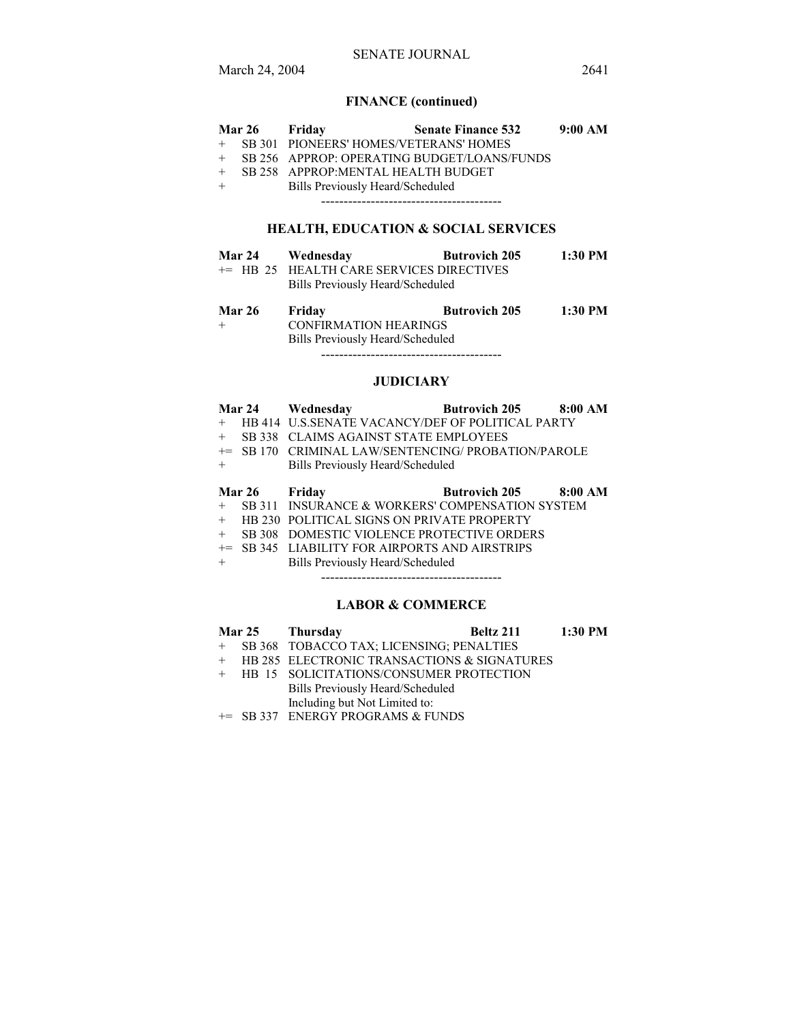## SENATE JOURNAL

# **FINANCE (continued)**

| Mar 26 Friday |                                          | <b>Senate Finance 532</b>                   | 9:00 AM |
|---------------|------------------------------------------|---------------------------------------------|---------|
|               | + SB 301 PIONEERS' HOMES/VETERANS' HOMES |                                             |         |
|               |                                          | SB 256 APPROP: OPERATING BUDGET/LOANS/FUNDS |         |
|               | SB 258 APPROP: MENTAL HEALTH BUDGET      |                                             |         |
|               | Bills Previously Heard/Scheduled         |                                             |         |
|               |                                          |                                             |         |
|               |                                          |                                             |         |

# **HEALTH, EDUCATION & SOCIAL SERVICES**

| <b>Mar 24</b> | Wednesday                                | <b>Butrovich 205</b> | $1:30$ PM |
|---------------|------------------------------------------|----------------------|-----------|
|               | += HB 25 HEALTH CARE SERVICES DIRECTIVES |                      |           |
|               | Bills Previously Heard/Scheduled         |                      |           |

| <b>Mar 26</b> | Friday                           | <b>Butrovich 205</b> | 1:30 PM |
|---------------|----------------------------------|----------------------|---------|
| $+$           | <b>CONFIRMATION HEARINGS</b>     |                      |         |
|               | Bills Previously Heard/Scheduled |                      |         |
|               |                                  |                      |         |

## **JUDICIARY**

|        | <b>Mar 24</b> | Wednesday                                               | <b>Butrovich 205</b> 8:00 AM |         |
|--------|---------------|---------------------------------------------------------|------------------------------|---------|
| $^{+}$ |               | <b>HB 414 U.S.SENATE VACANCY/DEF OF POLITICAL PARTY</b> |                              |         |
| $+$    | SB 338        | CLAIMS AGAINST STATE EMPLOYEES                          |                              |         |
| $+=$   | SB 170        | CRIMINAL LAW/SENTENCING/ PROBATION/PAROLE               |                              |         |
| $^{+}$ |               | Bills Previously Heard/Scheduled                        |                              |         |
|        |               |                                                         |                              |         |
|        | Mar 26 Friday |                                                         | <b>Butrovich 205</b>         | 8:00 AM |
| $^{+}$ |               | SB 311 INSURANCE & WORKERS' COMPENSATION SYSTEM         |                              |         |
| $^{+}$ |               | <b>HB 230 POLITICAL SIGNS ON PRIVATE PROPERTY</b>       |                              |         |
| $+$    | <b>SB 308</b> | DOMESTIC VIOLENCE PROTECTIVE ORDERS                     |                              |         |
| $+=$   |               | SB 345 LIABILITY FOR AIRPORTS AND AIRSTRIPS             |                              |         |
| $^{+}$ |               | Bills Previously Heard/Scheduled                        |                              |         |
|        |               |                                                         |                              |         |

## **LABOR & COMMERCE**

|  | Mar 25 Thursday                               | <b>Beltz 211</b> 1:30 PM |  |
|--|-----------------------------------------------|--------------------------|--|
|  | + SB 368 TOBACCO TAX; LICENSING; PENALTIES    |                          |  |
|  | + HB 285 ELECTRONIC TRANSACTIONS & SIGNATURES |                          |  |
|  | + HB 15 SOLICITATIONS/CONSUMER PROTECTION     |                          |  |
|  | Bills Previously Heard/Scheduled              |                          |  |
|  | Including but Not Limited to:                 |                          |  |
|  | $\blacksquare$                                |                          |  |

+= SB 337 ENERGY PROGRAMS & FUNDS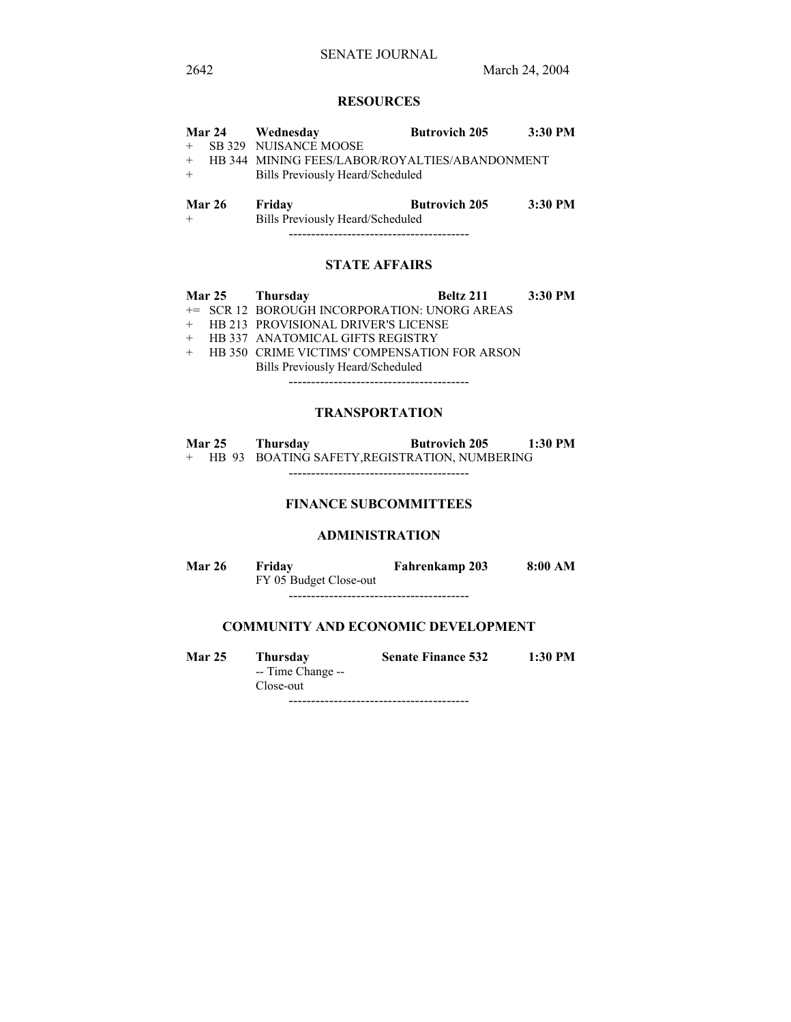## **RESOURCES**

|     |               | Mar 24 Wednesday                               | <b>Butrovich 205</b> | 3:30 PM |
|-----|---------------|------------------------------------------------|----------------------|---------|
|     |               | SB 329 NUISANCE MOOSE                          |                      |         |
| $+$ |               | HB 344 MINING FEES/LABOR/ROYALTIES/ABANDONMENT |                      |         |
|     |               | Bills Previously Heard/Scheduled               |                      |         |
|     |               |                                                |                      |         |
|     | <b>Mar 26</b> | Friday                                         | <b>Butrovich 205</b> | 3:30 PM |
|     |               | Bills Previously Heard/Scheduled               |                      |         |

----------------------------------------

## **STATE AFFAIRS**

|  | Mar 25 Thursday                                | Beltz 211 3:30 PM |  |
|--|------------------------------------------------|-------------------|--|
|  | += SCR 12 BOROUGH INCORPORATION: UNORG AREAS   |                   |  |
|  | + HB 213 PROVISIONAL DRIVER'S LICENSE          |                   |  |
|  | + HB 337 ANATOMICAL GIFTS REGISTRY             |                   |  |
|  | + HB 350 CRIME VICTIMS' COMPENSATION FOR ARSON |                   |  |
|  | Bills Previously Heard/Scheduled               |                   |  |

----------------------------------------

## **TRANSPORTATION**

| <b>Mar 25</b> | Thursday | <b>Butrovich 205</b>                          | $1:30$ PM |
|---------------|----------|-----------------------------------------------|-----------|
|               |          | HB 93 BOATING SAFETY, REGISTRATION, NUMBERING |           |

----------------------------------------

## **FINANCE SUBCOMMITTEES**

#### **ADMINISTRATION**

| <b>Mar 26</b> | Friday                 | Fahrenkamp 203 | 8:00 AM |
|---------------|------------------------|----------------|---------|
|               | FY 05 Budget Close-out |                |         |

----------------------------------------

## **COMMUNITY AND ECONOMIC DEVELOPMENT**

| <b>Mar 25</b> | <b>Thursday</b>   | <b>Senate Finance 532</b> | 1:30 PM |
|---------------|-------------------|---------------------------|---------|
|               | -- Time Change -- |                           |         |
|               | Close-out         |                           |         |

----------------------------------------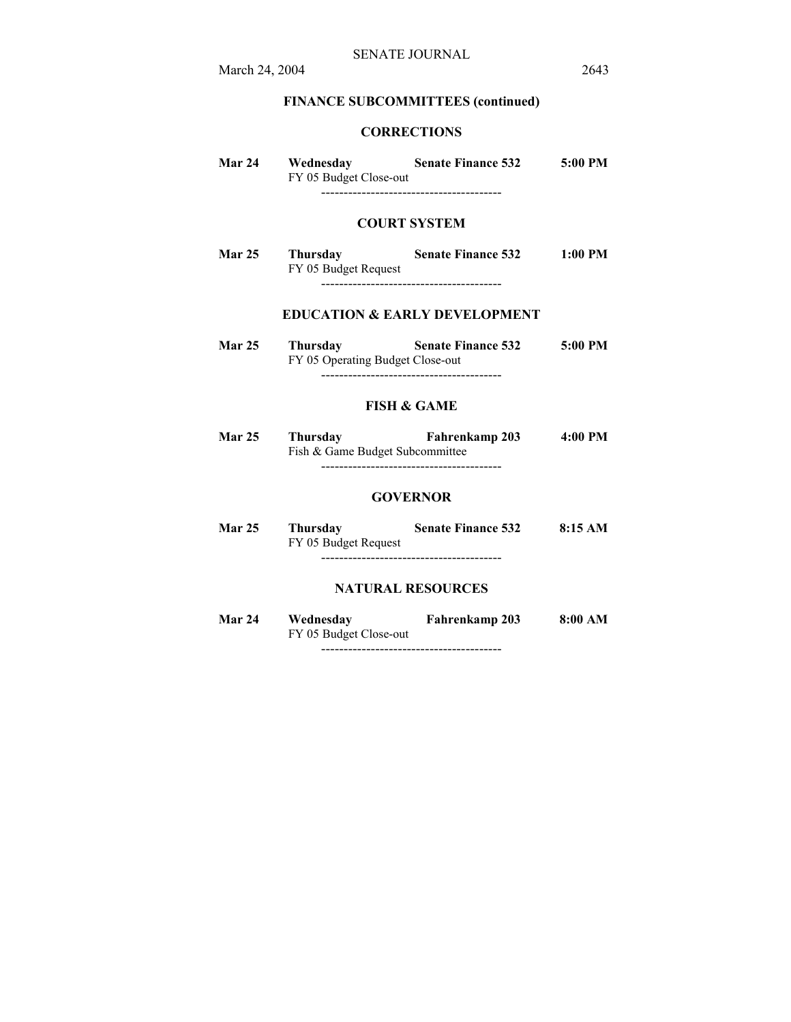# **FINANCE SUBCOMMITTEES (continued)**

## **CORRECTIONS**

| Mar 24 | Wednesday<br>FY 05 Budget Close-out | <b>Senate Finance 532</b> | $5:00 \text{ PM}$ |
|--------|-------------------------------------|---------------------------|-------------------|
|        |                                     |                           |                   |

### **COURT SYSTEM**

**Mar 25 Thursday Senate Finance 532 1:00 PM**  FY 05 Budget Request ----------------------------------------

## **EDUCATION & EARLY DEVELOPMENT**

| <b>Mar 25</b> | Thursdav | <b>Senate Finance 532</b>        | $5:00$ PM |
|---------------|----------|----------------------------------|-----------|
|               |          | FY 05 Operating Budget Close-out |           |
|               |          |                                  |           |

## **FISH & GAME**

| <b>Mar 25</b> | Thursday                        | <b>Fahrenkamp 203</b> | 4:00 PM |
|---------------|---------------------------------|-----------------------|---------|
|               | Fish & Game Budget Subcommittee |                       |         |
|               |                                 |                       |         |

#### **GOVERNOR**

**Mar 25 Thursday Senate Finance 532 8:15 AM**  FY 05 Budget Request ----------------------------------------

### **NATURAL RESOURCES**

| <b>Mar 24</b> | Wednesday              | Fahrenkamp 203 | 8:00 AM |
|---------------|------------------------|----------------|---------|
|               | FY 05 Budget Close-out |                |         |
|               |                        |                |         |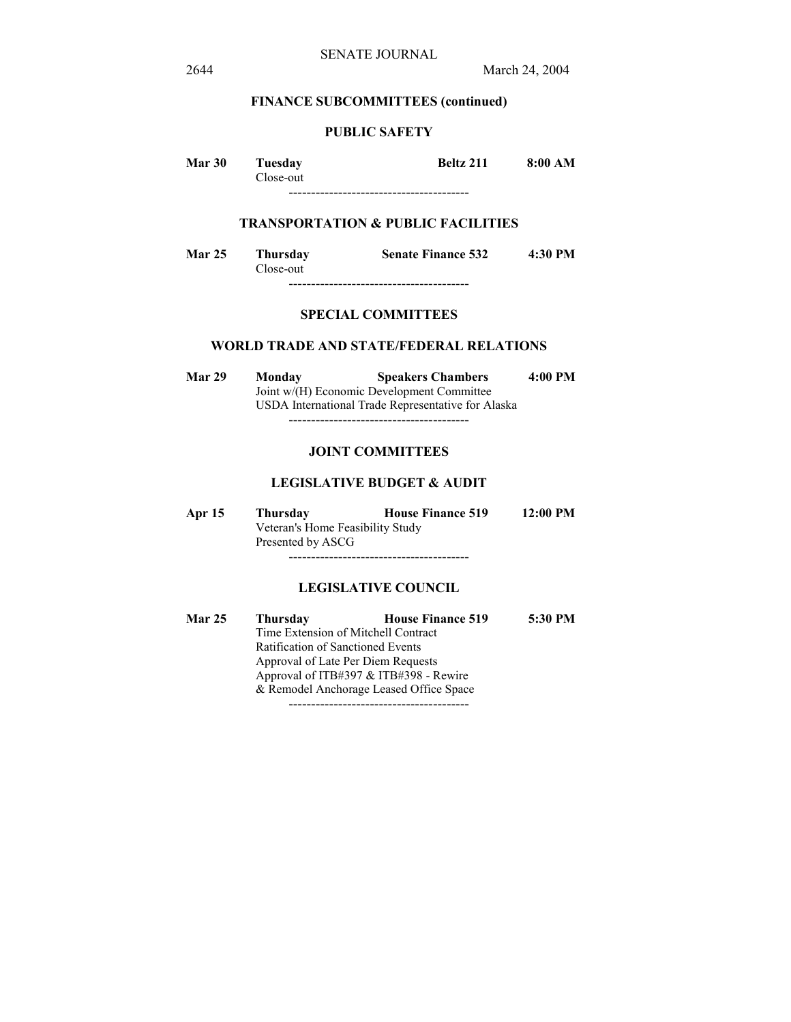### **FINANCE SUBCOMMITTEES (continued)**

## **PUBLIC SAFETY**

**Mar 30 Tuesday Beltz 211 8:00 AM**  Close-out

----------------------------------------

## **TRANSPORTATION & PUBLIC FACILITIES**

**Mar 25 Thursday Senate Finance 532 4:30 PM**  Close-out ----------------------------------------

## **SPECIAL COMMITTEES**

#### **WORLD TRADE AND STATE/FEDERAL RELATIONS**

**Mar 29 Monday Speakers Chambers 4:00 PM**  Joint w/(H) Economic Development Committee USDA International Trade Representative for Alaska ----------------------------------------

#### **JOINT COMMITTEES**

#### **LEGISLATIVE BUDGET & AUDIT**

**Apr 15 Thursday House Finance 519 12:00 PM**  Veteran's Home Feasibility Study Presented by ASCG ----------------------------------------

#### **LEGISLATIVE COUNCIL**

**Mar 25 Thursday House Finance 519 5:30 PM**  Time Extension of Mitchell Contract Ratification of Sanctioned Events Approval of Late Per Diem Requests Approval of ITB#397 & ITB#398 - Rewire & Remodel Anchorage Leased Office Space ----------------------------------------